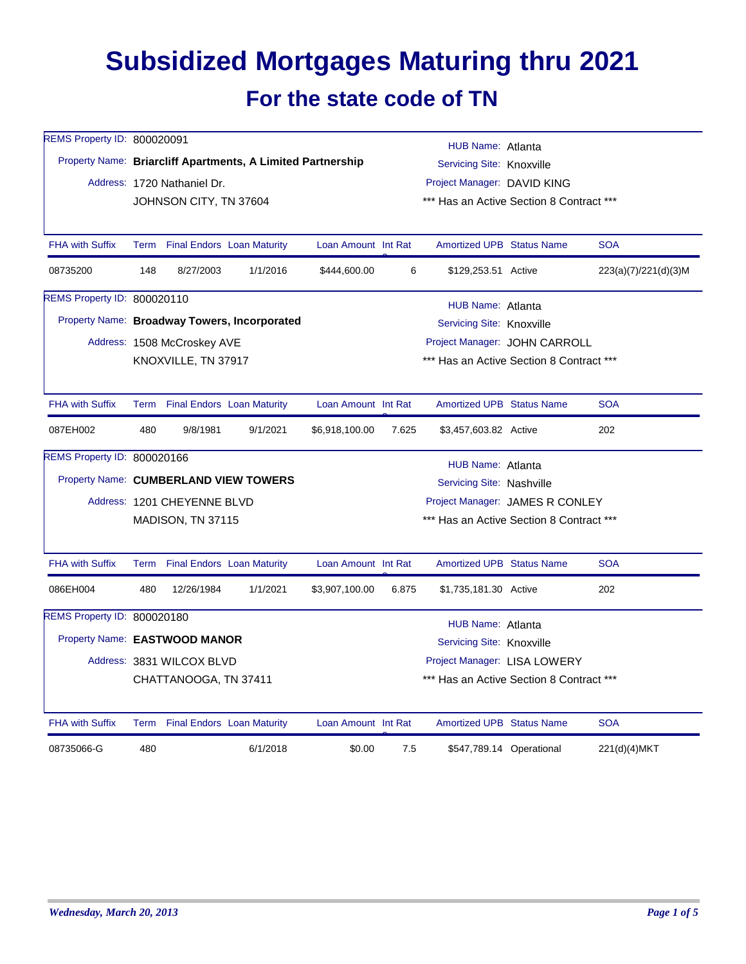## **Subsidized Mortgages Maturing thru 2021 For the state code of TN**

| REMS Property ID: 800020091           |                                                                                 |                                 |                                              |                     |       | HUB Name: Atlanta                |                                          |                      |  |  |  |
|---------------------------------------|---------------------------------------------------------------------------------|---------------------------------|----------------------------------------------|---------------------|-------|----------------------------------|------------------------------------------|----------------------|--|--|--|
|                                       | Property Name: Briarcliff Apartments, A Limited Partnership                     |                                 |                                              |                     |       | Servicing Site: Knoxville        |                                          |                      |  |  |  |
|                                       |                                                                                 | Address: 1720 Nathaniel Dr.     |                                              |                     |       | Project Manager: DAVID KING      |                                          |                      |  |  |  |
|                                       |                                                                                 | JOHNSON CITY, TN 37604          |                                              |                     |       |                                  | *** Has an Active Section 8 Contract *** |                      |  |  |  |
|                                       |                                                                                 |                                 |                                              |                     |       |                                  |                                          |                      |  |  |  |
| <b>FHA with Suffix</b>                |                                                                                 | Term Final Endors Loan Maturity |                                              | Loan Amount Int Rat |       | <b>Amortized UPB Status Name</b> |                                          | <b>SOA</b>           |  |  |  |
| 08735200                              | 148                                                                             | 8/27/2003                       | 1/1/2016                                     | \$444,600.00        | 6     | \$129,253.51 Active              |                                          | 223(a)(7)/221(d)(3)M |  |  |  |
| REMS Property ID: 800020110           |                                                                                 |                                 |                                              |                     |       | HUB Name: Atlanta                |                                          |                      |  |  |  |
|                                       |                                                                                 |                                 | Property Name: Broadway Towers, Incorporated |                     |       | Servicing Site: Knoxville        |                                          |                      |  |  |  |
|                                       |                                                                                 | Address: 1508 McCroskey AVE     |                                              |                     |       |                                  | Project Manager: JOHN CARROLL            |                      |  |  |  |
|                                       |                                                                                 | KNOXVILLE, TN 37917             |                                              |                     |       |                                  | *** Has an Active Section 8 Contract *** |                      |  |  |  |
|                                       |                                                                                 |                                 |                                              |                     |       |                                  |                                          |                      |  |  |  |
| FHA with Suffix                       |                                                                                 | Term Final Endors Loan Maturity |                                              | Loan Amount Int Rat |       | <b>Amortized UPB Status Name</b> |                                          | <b>SOA</b>           |  |  |  |
| 087EH002                              | 480                                                                             | 9/8/1981                        | 9/1/2021                                     | \$6,918,100.00      | 7.625 | \$3,457,603.82 Active            |                                          | 202                  |  |  |  |
| REMS Property ID: 800020166           |                                                                                 |                                 |                                              |                     |       | HUB Name: Atlanta                |                                          |                      |  |  |  |
| Property Name: CUMBERLAND VIEW TOWERS |                                                                                 |                                 |                                              |                     |       | Servicing Site: Nashville        |                                          |                      |  |  |  |
|                                       |                                                                                 | Address: 1201 CHEYENNE BLVD     |                                              |                     |       |                                  | Project Manager: JAMES R CONLEY          |                      |  |  |  |
|                                       |                                                                                 | MADISON, TN 37115               |                                              |                     |       |                                  | *** Has an Active Section 8 Contract *** |                      |  |  |  |
|                                       |                                                                                 |                                 |                                              |                     |       |                                  |                                          |                      |  |  |  |
| <b>FHA with Suffix</b>                |                                                                                 | Term Final Endors Loan Maturity |                                              | Loan Amount Int Rat |       | <b>Amortized UPB Status Name</b> |                                          | <b>SOA</b>           |  |  |  |
| 086EH004                              | 480                                                                             | 12/26/1984                      | 1/1/2021                                     | \$3,907,100.00      | 6.875 | \$1,735,181.30 Active            |                                          | 202                  |  |  |  |
| REMS Property ID: 800020180           |                                                                                 |                                 |                                              |                     |       |                                  |                                          |                      |  |  |  |
|                                       | HUB Name: Atlanta<br>Property Name: EASTWOOD MANOR<br>Servicing Site: Knoxville |                                 |                                              |                     |       |                                  |                                          |                      |  |  |  |
|                                       |                                                                                 | Address: 3831 WILCOX BLVD       |                                              |                     |       | Project Manager: LISA LOWERY     |                                          |                      |  |  |  |
|                                       |                                                                                 | CHATTANOOGA, TN 37411           |                                              |                     |       |                                  | *** Has an Active Section 8 Contract *** |                      |  |  |  |
|                                       |                                                                                 |                                 |                                              |                     |       |                                  |                                          |                      |  |  |  |
| <b>FHA with Suffix</b>                |                                                                                 | Term Final Endors Loan Maturity |                                              | Loan Amount Int Rat |       | <b>Amortized UPB Status Name</b> |                                          | <b>SOA</b>           |  |  |  |
| 08735066-G                            | 480                                                                             |                                 | 6/1/2018                                     | \$0.00              | 7.5   |                                  | \$547,789.14 Operational                 | 221(d)(4)MKT         |  |  |  |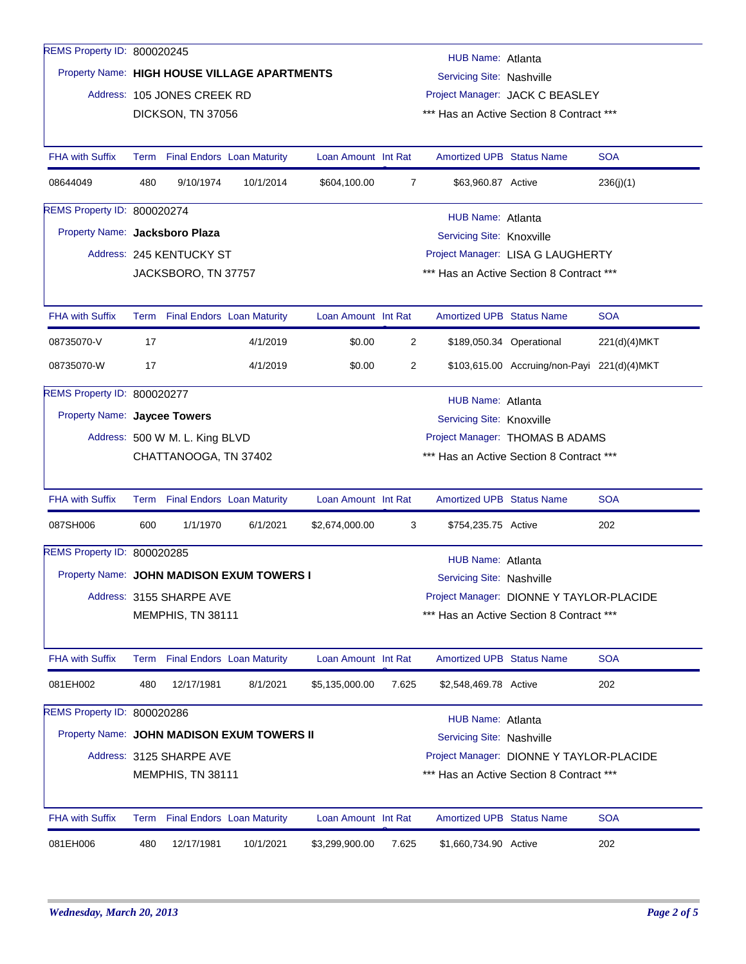| REMS Property ID: 800020245  |                                                                                         |                                |                                              |                     |                                                              |                                                                                      |                                             |              |  |  |  |
|------------------------------|-----------------------------------------------------------------------------------------|--------------------------------|----------------------------------------------|---------------------|--------------------------------------------------------------|--------------------------------------------------------------------------------------|---------------------------------------------|--------------|--|--|--|
|                              |                                                                                         |                                | Property Name: HIGH HOUSE VILLAGE APARTMENTS |                     | HUB Name: Atlanta                                            |                                                                                      |                                             |              |  |  |  |
|                              |                                                                                         |                                |                                              |                     | Servicing Site: Nashville<br>Project Manager: JACK C BEASLEY |                                                                                      |                                             |              |  |  |  |
|                              |                                                                                         | Address: 105 JONES CREEK RD    |                                              |                     |                                                              | *** Has an Active Section 8 Contract ***                                             |                                             |              |  |  |  |
|                              |                                                                                         | DICKSON, TN 37056              |                                              |                     |                                                              |                                                                                      |                                             |              |  |  |  |
| <b>FHA with Suffix</b>       |                                                                                         |                                | Term Final Endors Loan Maturity              | Loan Amount Int Rat |                                                              | <b>Amortized UPB Status Name</b>                                                     |                                             | <b>SOA</b>   |  |  |  |
| 08644049                     | 480                                                                                     | 9/10/1974                      | 10/1/2014                                    | \$604,100.00        | 7                                                            | \$63,960.87 Active                                                                   |                                             | 236(j)(1)    |  |  |  |
| REMS Property ID: 800020274  |                                                                                         |                                |                                              |                     |                                                              |                                                                                      |                                             |              |  |  |  |
|                              | HUB Name: Atlanta<br>Property Name: Jacksboro Plaza<br><b>Servicing Site: Knoxville</b> |                                |                                              |                     |                                                              |                                                                                      |                                             |              |  |  |  |
|                              |                                                                                         | Address: 245 KENTUCKY ST       |                                              |                     |                                                              |                                                                                      | Project Manager: LISA G LAUGHERTY           |              |  |  |  |
|                              |                                                                                         | JACKSBORO, TN 37757            |                                              |                     |                                                              | *** Has an Active Section 8 Contract ***                                             |                                             |              |  |  |  |
|                              |                                                                                         |                                |                                              |                     |                                                              |                                                                                      |                                             |              |  |  |  |
| <b>FHA with Suffix</b>       |                                                                                         |                                | Term Final Endors Loan Maturity              | Loan Amount Int Rat |                                                              | <b>Amortized UPB Status Name</b>                                                     |                                             | <b>SOA</b>   |  |  |  |
| 08735070-V                   | 17                                                                                      |                                | 4/1/2019                                     | \$0.00              | $\overline{2}$                                               |                                                                                      | \$189,050.34 Operational                    | 221(d)(4)MKT |  |  |  |
| 08735070-W                   | 17                                                                                      |                                | 4/1/2019                                     | \$0.00              | $\overline{c}$                                               |                                                                                      | \$103,615.00 Accruing/non-Payi 221(d)(4)MKT |              |  |  |  |
| REMS Property ID: 800020277  |                                                                                         |                                |                                              |                     |                                                              | HUB Name: Atlanta                                                                    |                                             |              |  |  |  |
| Property Name: Jaycee Towers |                                                                                         |                                |                                              |                     |                                                              | Servicing Site: Knoxville                                                            |                                             |              |  |  |  |
|                              |                                                                                         | Address: 500 W M. L. King BLVD |                                              |                     |                                                              | Project Manager: THOMAS B ADAMS                                                      |                                             |              |  |  |  |
|                              |                                                                                         | CHATTANOOGA, TN 37402          |                                              |                     | *** Has an Active Section 8 Contract ***                     |                                                                                      |                                             |              |  |  |  |
| <b>FHA with Suffix</b>       |                                                                                         |                                | Term Final Endors Loan Maturity              | Loan Amount Int Rat |                                                              | Amortized UPB Status Name                                                            |                                             | <b>SOA</b>   |  |  |  |
| 087SH006                     | 600                                                                                     | 1/1/1970                       | 6/1/2021                                     | \$2,674,000.00      | 3                                                            | \$754,235.75 Active                                                                  |                                             | 202          |  |  |  |
| REMS Property ID: 800020285  |                                                                                         |                                |                                              |                     |                                                              | HUB Name: Atlanta                                                                    |                                             |              |  |  |  |
|                              |                                                                                         |                                | Property Name: JOHN MADISON EXUM TOWERS I    |                     |                                                              | Servicing Site: Nashville                                                            |                                             |              |  |  |  |
|                              |                                                                                         |                                |                                              |                     |                                                              |                                                                                      |                                             |              |  |  |  |
|                              | Address: 3155 SHARPE AVE<br>MEMPHIS, TN 38111                                           |                                |                                              |                     |                                                              | Project Manager: DIONNE Y TAYLOR-PLACIDE<br>*** Has an Active Section 8 Contract *** |                                             |              |  |  |  |
| <b>FHA with Suffix</b>       | Term                                                                                    |                                | <b>Final Endors Loan Maturity</b>            | Loan Amount Int Rat |                                                              | <b>Amortized UPB Status Name</b>                                                     |                                             | <b>SOA</b>   |  |  |  |
| 081EH002                     | 480                                                                                     | 12/17/1981                     | 8/1/2021                                     | \$5,135,000.00      | 7.625                                                        | \$2,548,469.78 Active                                                                |                                             | 202          |  |  |  |
| REMS Property ID: 800020286  |                                                                                         |                                |                                              |                     |                                                              |                                                                                      |                                             |              |  |  |  |
|                              |                                                                                         |                                |                                              |                     |                                                              | HUB Name: Atlanta                                                                    |                                             |              |  |  |  |
|                              |                                                                                         |                                | Property Name: JOHN MADISON EXUM TOWERS II   |                     |                                                              | Servicing Site: Nashville                                                            |                                             |              |  |  |  |
|                              |                                                                                         | Address: 3125 SHARPE AVE       |                                              |                     |                                                              |                                                                                      | Project Manager: DIONNE Y TAYLOR-PLACIDE    |              |  |  |  |
|                              | *** Has an Active Section 8 Contract ***<br>MEMPHIS, TN 38111                           |                                |                                              |                     |                                                              |                                                                                      |                                             |              |  |  |  |
| <b>FHA with Suffix</b>       |                                                                                         |                                | Term Final Endors Loan Maturity              | Loan Amount Int Rat |                                                              | <b>Amortized UPB Status Name</b>                                                     |                                             | <b>SOA</b>   |  |  |  |
| 081EH006                     | 480                                                                                     | 12/17/1981                     | 10/1/2021                                    | \$3,299,900.00      | 7.625                                                        | \$1,660,734.90 Active                                                                |                                             | 202          |  |  |  |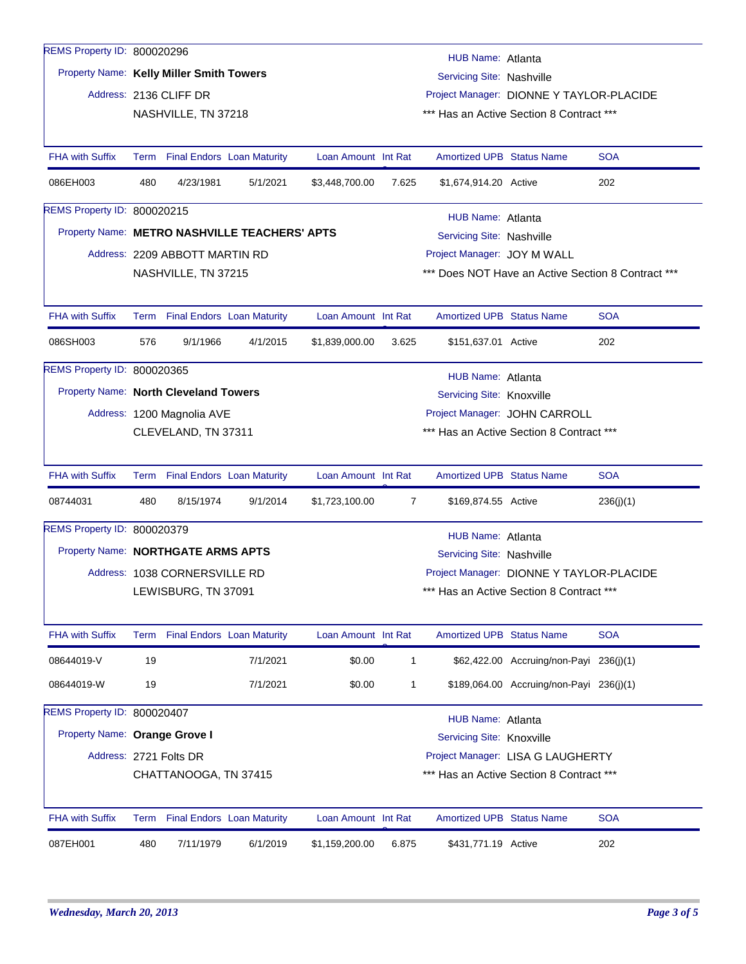| REMS Property ID: 800020296           |                                                                       |                                 |                                               |                     |                                          | HUB Name: Atlanta                |                                          |                                                    |  |  |
|---------------------------------------|-----------------------------------------------------------------------|---------------------------------|-----------------------------------------------|---------------------|------------------------------------------|----------------------------------|------------------------------------------|----------------------------------------------------|--|--|
|                                       | Property Name: Kelly Miller Smith Towers<br>Servicing Site: Nashville |                                 |                                               |                     |                                          |                                  |                                          |                                                    |  |  |
|                                       |                                                                       | Address: 2136 CLIFF DR          |                                               |                     | Project Manager: DIONNE Y TAYLOR-PLACIDE |                                  |                                          |                                                    |  |  |
|                                       |                                                                       | NASHVILLE, TN 37218             |                                               |                     |                                          |                                  | *** Has an Active Section 8 Contract *** |                                                    |  |  |
| <b>FHA with Suffix</b>                |                                                                       | Term Final Endors Loan Maturity |                                               | Loan Amount Int Rat |                                          | <b>Amortized UPB Status Name</b> |                                          | <b>SOA</b>                                         |  |  |
| 086EH003                              | 480                                                                   | 4/23/1981                       | 5/1/2021                                      | \$3,448,700.00      | 7.625                                    | \$1,674,914.20 Active            |                                          | 202                                                |  |  |
| REMS Property ID: 800020215           |                                                                       |                                 |                                               |                     |                                          | <b>HUB Name: Atlanta</b>         |                                          |                                                    |  |  |
|                                       |                                                                       |                                 | Property Name: METRO NASHVILLE TEACHERS' APTS |                     |                                          | Servicing Site: Nashville        |                                          |                                                    |  |  |
|                                       |                                                                       | Address: 2209 ABBOTT MARTIN RD  |                                               |                     |                                          | Project Manager: JOY M WALL      |                                          |                                                    |  |  |
|                                       |                                                                       | NASHVILLE, TN 37215             |                                               |                     |                                          |                                  |                                          | *** Does NOT Have an Active Section 8 Contract *** |  |  |
| <b>FHA with Suffix</b>                |                                                                       | Term Final Endors Loan Maturity |                                               | Loan Amount Int Rat |                                          | <b>Amortized UPB Status Name</b> |                                          | <b>SOA</b>                                         |  |  |
| 086SH003                              | 576                                                                   | 9/1/1966                        | 4/1/2015                                      | \$1,839,000.00      | 3.625                                    | \$151,637.01 Active              |                                          | 202                                                |  |  |
| REMS Property ID: 800020365           |                                                                       |                                 |                                               |                     |                                          | HUB Name: Atlanta                |                                          |                                                    |  |  |
| Property Name: North Cleveland Towers |                                                                       |                                 |                                               |                     |                                          | Servicing Site: Knoxville        |                                          |                                                    |  |  |
|                                       |                                                                       | Address: 1200 Magnolia AVE      |                                               |                     |                                          |                                  | Project Manager: JOHN CARROLL            |                                                    |  |  |
|                                       |                                                                       | CLEVELAND, TN 37311             |                                               |                     |                                          |                                  | *** Has an Active Section 8 Contract *** |                                                    |  |  |
| <b>FHA with Suffix</b>                |                                                                       | Term Final Endors Loan Maturity |                                               | Loan Amount Int Rat |                                          | <b>Amortized UPB Status Name</b> |                                          | <b>SOA</b>                                         |  |  |
| 08744031                              | 480                                                                   | 8/15/1974                       | 9/1/2014                                      | \$1,723,100.00      | 7                                        | \$169,874.55 Active              |                                          | 236(j)(1)                                          |  |  |
| REMS Property ID: 800020379           |                                                                       |                                 |                                               |                     |                                          | <b>HUB Name: Atlanta</b>         |                                          |                                                    |  |  |
| Property Name: NORTHGATE ARMS APTS    |                                                                       |                                 |                                               |                     |                                          | Servicing Site: Nashville        |                                          |                                                    |  |  |
|                                       |                                                                       | Address: 1038 CORNERSVILLE RD   |                                               |                     | Project Manager: DIONNE Y TAYLOR-PLACIDE |                                  |                                          |                                                    |  |  |
|                                       | LEWISBURG, TN 37091                                                   |                                 |                                               |                     |                                          |                                  | *** Has an Active Section 8 Contract *** |                                                    |  |  |
| <b>FHA with Suffix</b>                |                                                                       | Term Final Endors Loan Maturity |                                               | Loan Amount Int Rat |                                          | <b>Amortized UPB Status Name</b> |                                          | <b>SOA</b>                                         |  |  |
| 08644019-V                            | 19                                                                    |                                 | 7/1/2021                                      | \$0.00              | $\mathbf{1}$                             |                                  | \$62,422.00 Accruing/non-Payi 236(j)(1)  |                                                    |  |  |
| 08644019-W                            | 19                                                                    |                                 | 7/1/2021                                      | \$0.00              | 1                                        |                                  | \$189,064.00 Accruing/non-Payi 236(j)(1) |                                                    |  |  |
| REMS Property ID: 800020407           |                                                                       |                                 |                                               |                     |                                          | HUB Name: Atlanta                |                                          |                                                    |  |  |
| Property Name: Orange Grove I         |                                                                       |                                 |                                               |                     |                                          | <b>Servicing Site: Knoxville</b> |                                          |                                                    |  |  |
|                                       | Address: 2721 Folts DR<br>Project Manager: LISA G LAUGHERTY           |                                 |                                               |                     |                                          |                                  |                                          |                                                    |  |  |
|                                       |                                                                       | CHATTANOOGA, TN 37415           |                                               |                     |                                          |                                  | *** Has an Active Section 8 Contract *** |                                                    |  |  |
| <b>FHA with Suffix</b>                |                                                                       | Term Final Endors Loan Maturity |                                               | Loan Amount Int Rat |                                          | <b>Amortized UPB Status Name</b> |                                          | <b>SOA</b>                                         |  |  |
| 087EH001                              | 480                                                                   | 7/11/1979                       | 6/1/2019                                      | \$1,159,200.00      | 6.875                                    | \$431,771.19 Active              |                                          | 202                                                |  |  |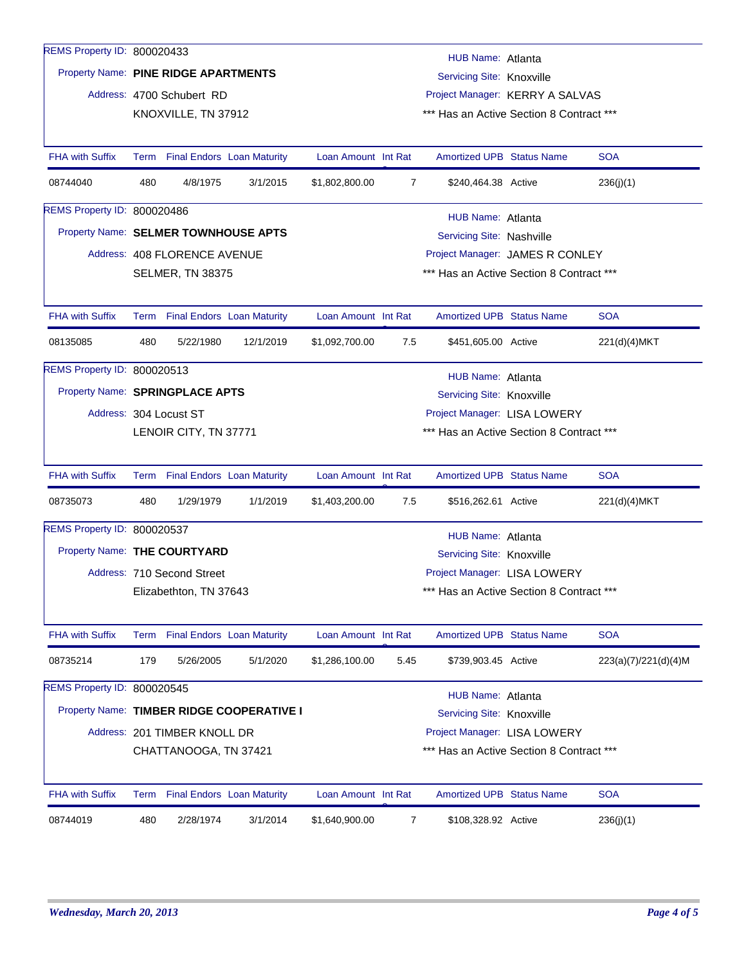| REMS Property ID: 800020433          |                                                                                                                                   |                                 |                                           |                     |                                          | HUB Name: Atlanta                        |  |                      |  |
|--------------------------------------|-----------------------------------------------------------------------------------------------------------------------------------|---------------------------------|-------------------------------------------|---------------------|------------------------------------------|------------------------------------------|--|----------------------|--|
|                                      | Property Name: PINE RIDGE APARTMENTS<br>Servicing Site: Knoxville                                                                 |                                 |                                           |                     |                                          |                                          |  |                      |  |
|                                      |                                                                                                                                   | Address: 4700 Schubert RD       |                                           |                     | Project Manager: KERRY A SALVAS          |                                          |  |                      |  |
|                                      |                                                                                                                                   | KNOXVILLE, TN 37912             |                                           |                     |                                          | *** Has an Active Section 8 Contract *** |  |                      |  |
|                                      |                                                                                                                                   |                                 |                                           |                     |                                          |                                          |  |                      |  |
| <b>FHA with Suffix</b>               |                                                                                                                                   | Term Final Endors Loan Maturity |                                           | Loan Amount Int Rat |                                          | <b>Amortized UPB Status Name</b>         |  | <b>SOA</b>           |  |
| 08744040                             | 480                                                                                                                               | 4/8/1975                        | 3/1/2015                                  | \$1,802,800.00      | $\overline{7}$                           | \$240,464.38 Active                      |  | 236(j)(1)            |  |
| REMS Property ID: 800020486          |                                                                                                                                   |                                 |                                           |                     |                                          | HUB Name: Atlanta                        |  |                      |  |
| Property Name: SELMER TOWNHOUSE APTS |                                                                                                                                   |                                 |                                           |                     |                                          | Servicing Site: Nashville                |  |                      |  |
|                                      |                                                                                                                                   | Address: 408 FLORENCE AVENUE    |                                           |                     |                                          | Project Manager: JAMES R CONLEY          |  |                      |  |
|                                      |                                                                                                                                   | <b>SELMER, TN 38375</b>         |                                           |                     |                                          | *** Has an Active Section 8 Contract *** |  |                      |  |
|                                      |                                                                                                                                   |                                 |                                           |                     |                                          |                                          |  |                      |  |
| <b>FHA with Suffix</b>               |                                                                                                                                   | Term Final Endors Loan Maturity |                                           | Loan Amount Int Rat |                                          | <b>Amortized UPB Status Name</b>         |  | <b>SOA</b>           |  |
| 08135085                             | 480                                                                                                                               | 5/22/1980                       | 12/1/2019                                 | \$1,092,700.00      | 7.5                                      | \$451,605.00 Active                      |  | 221(d)(4)MKT         |  |
| REMS Property ID: 800020513          |                                                                                                                                   |                                 |                                           |                     |                                          | HUB Name: Atlanta                        |  |                      |  |
| Property Name: SPRINGPLACE APTS      |                                                                                                                                   |                                 |                                           |                     |                                          | Servicing Site: Knoxville                |  |                      |  |
|                                      |                                                                                                                                   | Address: 304 Locust ST          |                                           |                     |                                          | Project Manager: LISA LOWERY             |  |                      |  |
|                                      | *** Has an Active Section 8 Contract ***<br>LENOIR CITY, TN 37771                                                                 |                                 |                                           |                     |                                          |                                          |  |                      |  |
|                                      |                                                                                                                                   |                                 |                                           |                     |                                          |                                          |  |                      |  |
| <b>FHA with Suffix</b>               |                                                                                                                                   | Term Final Endors Loan Maturity |                                           | Loan Amount Int Rat |                                          | <b>Amortized UPB Status Name</b>         |  | <b>SOA</b>           |  |
| 08735073                             | 480                                                                                                                               | 1/29/1979                       | 1/1/2019                                  | \$1,403,200.00      | 7.5                                      | \$516,262.61 Active                      |  | 221(d)(4)MKT         |  |
| REMS Property ID: 800020537          |                                                                                                                                   |                                 |                                           |                     |                                          | HUB Name: Atlanta                        |  |                      |  |
| Property Name: THE COURTYARD         |                                                                                                                                   |                                 |                                           |                     |                                          | Servicing Site: Knoxville                |  |                      |  |
|                                      |                                                                                                                                   | Address: 710 Second Street      |                                           |                     |                                          | Project Manager: LISA LOWERY             |  |                      |  |
|                                      |                                                                                                                                   | Elizabethton, TN 37643          |                                           |                     | *** Has an Active Section 8 Contract *** |                                          |  |                      |  |
|                                      |                                                                                                                                   |                                 |                                           |                     |                                          |                                          |  |                      |  |
| <b>FHA with Suffix</b>               |                                                                                                                                   | Term Final Endors Loan Maturity |                                           | Loan Amount Int Rat |                                          | Amortized UPB Status Name                |  | <b>SOA</b>           |  |
| 08735214                             | 179                                                                                                                               | 5/26/2005                       | 5/1/2020                                  | \$1,286,100.00      | 5.45                                     | \$739,903.45 Active                      |  | 223(a)(7)/221(d)(4)M |  |
| REMS Property ID: 800020545          |                                                                                                                                   |                                 |                                           |                     |                                          | HUB Name: Atlanta                        |  |                      |  |
|                                      |                                                                                                                                   |                                 | Property Name: TIMBER RIDGE COOPERATIVE I |                     |                                          | Servicing Site: Knoxville                |  |                      |  |
|                                      |                                                                                                                                   |                                 |                                           |                     |                                          |                                          |  |                      |  |
|                                      | Address: 201 TIMBER KNOLL DR<br>Project Manager: LISA LOWERY<br>*** Has an Active Section 8 Contract ***<br>CHATTANOOGA, TN 37421 |                                 |                                           |                     |                                          |                                          |  |                      |  |
|                                      |                                                                                                                                   |                                 |                                           |                     |                                          |                                          |  |                      |  |
| <b>FHA with Suffix</b>               |                                                                                                                                   | Term Final Endors Loan Maturity |                                           | Loan Amount Int Rat |                                          | Amortized UPB Status Name                |  | <b>SOA</b>           |  |
| 08744019                             | 480                                                                                                                               | 2/28/1974                       | 3/1/2014                                  | \$1,640,900.00      | 7                                        | \$108,328.92 Active                      |  | 236(j)(1)            |  |